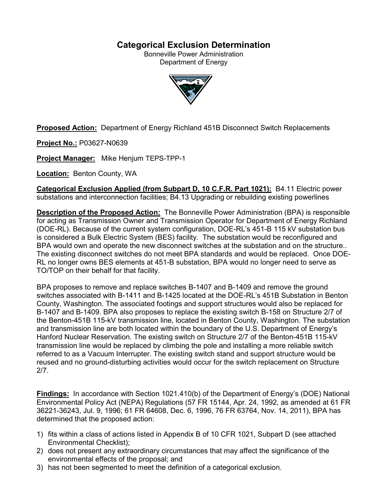# **Categorical Exclusion Determination**

Bonneville Power Administration Department of Energy



**Proposed Action:** Department of Energy Richland 451B Disconnect Switch Replacements

**Project No.:** P03627-N0639

**Project Manager:** Mike Henjum TEPS-TPP-1

**Location:** Benton County, WA

**Categorical Exclusion Applied (from Subpart D, 10 C.F.R. Part 1021):** B4.11 Electric power substations and interconnection facilities; B4.13 Upgrading or rebuilding existing powerlines

**Description of the Proposed Action:** The Bonneville Power Administration (BPA) is responsible for acting as Transmission Owner and Transmission Operator for Department of Energy Richland (DOE-RL). Because of the current system configuration, DOE-RL's 451-B 115 kV substation bus is considered a Bulk Electric System (BES) facility. The substation would be reconfigured and BPA would own and operate the new disconnect switches at the substation and on the structure.. The existing disconnect switches do not meet BPA standards and would be replaced. Once DOE-RL no longer owns BES elements at 451-B substation, BPA would no longer need to serve as TO/TOP on their behalf for that facility.

BPA proposes to remove and replace switches B-1407 and B-1409 and remove the ground switches associated with B-1411 and B-1425 located at the DOE-RL's 451B Substation in Benton County, Washington. The associated footings and support structures would also be replaced for B-1407 and B-1409. BPA also proposes to replace the existing switch B-158 on Structure 2/7 of the Benton-451B 115-kV transmission line, located in Benton County, Washington. The substation and transmission line are both located within the boundary of the U.S. Department of Energy's Hanford Nuclear Reservation. The existing switch on Structure 2/7 of the Benton-451B 115-kV transmission line would be replaced by climbing the pole and installing a more reliable switch referred to as a Vacuum Interrupter. The existing switch stand and support structure would be reused and no ground-disturbing activities would occur for the switch replacement on Structure 2/7.

**Findings:** In accordance with Section 1021.410(b) of the Department of Energy's (DOE) National Environmental Policy Act (NEPA) Regulations (57 FR 15144, Apr. 24, 1992, as amended at 61 FR 36221-36243, Jul. 9, 1996; 61 FR 64608, Dec. 6, 1996, 76 FR 63764, Nov. 14, 2011), BPA has determined that the proposed action:

- 1) fits within a class of actions listed in Appendix B of 10 CFR 1021, Subpart D (see attached Environmental Checklist);
- 2) does not present any extraordinary circumstances that may affect the significance of the environmental effects of the proposal; and
- 3) has not been segmented to meet the definition of a categorical exclusion.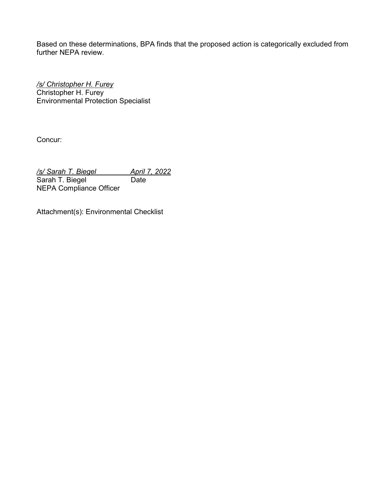Based on these determinations, BPA finds that the proposed action is categorically excluded from further NEPA review.

*/s/ Christopher H. Furey* Christopher H. Furey Environmental Protection Specialist

Concur:

*/s/ Sarah T. Biegel April 7, 2022* Sarah T. Biegel Date NEPA Compliance Officer

Attachment(s): Environmental Checklist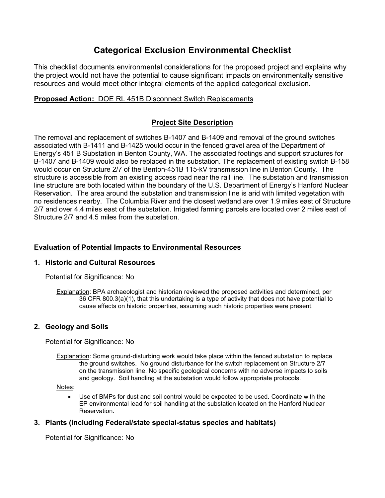# **Categorical Exclusion Environmental Checklist**

This checklist documents environmental considerations for the proposed project and explains why the project would not have the potential to cause significant impacts on environmentally sensitive resources and would meet other integral elements of the applied categorical exclusion.

# **Proposed Action:** DOE RL 451B Disconnect Switch Replacements

# **Project Site Description**

The removal and replacement of switches B-1407 and B-1409 and removal of the ground switches associated with B-1411 and B-1425 would occur in the fenced gravel area of the Department of Energy's 451 B Substation in Benton County, WA. The associated footings and support structures for B-1407 and B-1409 would also be replaced in the substation. The replacement of existing switch B-158 would occur on Structure 2/7 of the Benton-451B 115-kV transmission line in Benton County. The structure is accessible from an existing access road near the rail line. The substation and transmission line structure are both located within the boundary of the U.S. Department of Energy's Hanford Nuclear Reservation. The area around the substation and transmission line is arid with limited vegetation with no residences nearby. The Columbia River and the closest wetland are over 1.9 miles east of Structure 2/7 and over 4.4 miles east of the substation. Irrigated farming parcels are located over 2 miles east of Structure 2/7 and 4.5 miles from the substation.

# **Evaluation of Potential Impacts to Environmental Resources**

## **1. Historic and Cultural Resources**

Potential for Significance: No

Explanation: BPA archaeologist and historian reviewed the proposed activities and determined, per 36 CFR 800.3(a)(1), that this undertaking is a type of activity that does not have potential to cause effects on historic properties, assuming such historic properties were present.

# **2. Geology and Soils**

Potential for Significance: No

Explanation: Some ground-disturbing work would take place within the fenced substation to replace the ground switches. No ground disturbance for the switch replacement on Structure 2/7 on the transmission line. No specific geological concerns with no adverse impacts to soils and geology. Soil handling at the substation would follow appropriate protocols.

Notes:

• Use of BMPs for dust and soil control would be expected to be used. Coordinate with the EP environmental lead for soil handling at the substation located on the Hanford Nuclear Reservation.

## **3. Plants (including Federal/state special-status species and habitats)**

Potential for Significance: No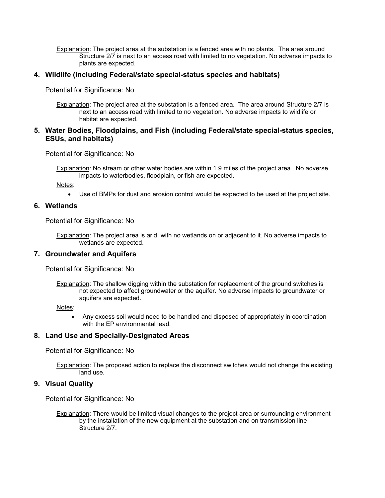Explanation: The project area at the substation is a fenced area with no plants. The area around Structure 2/7 is next to an access road with limited to no vegetation. No adverse impacts to plants are expected.

#### **4. Wildlife (including Federal/state special-status species and habitats)**

Potential for Significance: No

Explanation: The project area at the substation is a fenced area. The area around Structure 2/7 is next to an access road with limited to no vegetation. No adverse impacts to wildlife or habitat are expected.

### **5. Water Bodies, Floodplains, and Fish (including Federal/state special-status species, ESUs, and habitats)**

Potential for Significance: No

Explanation: No stream or other water bodies are within 1.9 miles of the project area. No adverse impacts to waterbodies, floodplain, or fish are expected.

Notes:

• Use of BMPs for dust and erosion control would be expected to be used at the project site.

#### **6. Wetlands**

Potential for Significance: No

Explanation: The project area is arid, with no wetlands on or adjacent to it. No adverse impacts to wetlands are expected.

#### **7. Groundwater and Aquifers**

Potential for Significance: No

Explanation: The shallow digging within the substation for replacement of the ground switches is not expected to affect groundwater or the aquifer. No adverse impacts to groundwater or aquifers are expected.

Notes:

• Any excess soil would need to be handled and disposed of appropriately in coordination with the EP environmental lead.

#### **8. Land Use and Specially-Designated Areas**

Potential for Significance: No

Explanation: The proposed action to replace the disconnect switches would not change the existing land use.

#### **9. Visual Quality**

Potential for Significance: No

Explanation: There would be limited visual changes to the project area or surrounding environment by the installation of the new equipment at the substation and on transmission line Structure 2/7.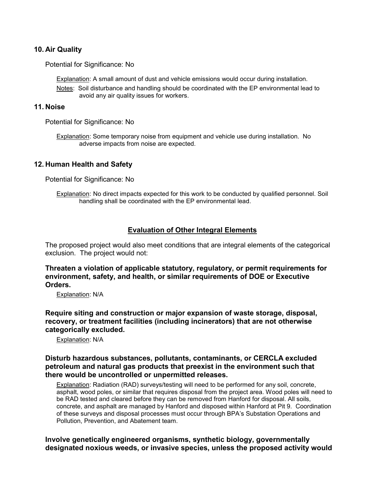#### **10. Air Quality**

Potential for Significance: No

Explanation: A small amount of dust and vehicle emissions would occur during installation.

Notes: Soil disturbance and handling should be coordinated with the EP environmental lead to avoid any air quality issues for workers.

#### **11. Noise**

Potential for Significance: No

Explanation: Some temporary noise from equipment and vehicle use during installation. No adverse impacts from noise are expected.

#### **12. Human Health and Safety**

Potential for Significance: No

Explanation: No direct impacts expected for this work to be conducted by qualified personnel. Soil handling shall be coordinated with the EP environmental lead.

#### **Evaluation of Other Integral Elements**

The proposed project would also meet conditions that are integral elements of the categorical exclusion. The project would not:

**Threaten a violation of applicable statutory, regulatory, or permit requirements for environment, safety, and health, or similar requirements of DOE or Executive Orders.**

Explanation: N/A

**Require siting and construction or major expansion of waste storage, disposal, recovery, or treatment facilities (including incinerators) that are not otherwise categorically excluded.**

Explanation: N/A

#### **Disturb hazardous substances, pollutants, contaminants, or CERCLA excluded petroleum and natural gas products that preexist in the environment such that there would be uncontrolled or unpermitted releases.**

Explanation: Radiation (RAD) surveys/testing will need to be performed for any soil, concrete, asphalt, wood poles, or similar that requires disposal from the project area. Wood poles will need to be RAD tested and cleared before they can be removed from Hanford for disposal. All soils, concrete, and asphalt are managed by Hanford and disposed within Hanford at Pit 9. Coordination of these surveys and disposal processes must occur through BPA's Substation Operations and Pollution, Prevention, and Abatement team.

## **Involve genetically engineered organisms, synthetic biology, governmentally designated noxious weeds, or invasive species, unless the proposed activity would**